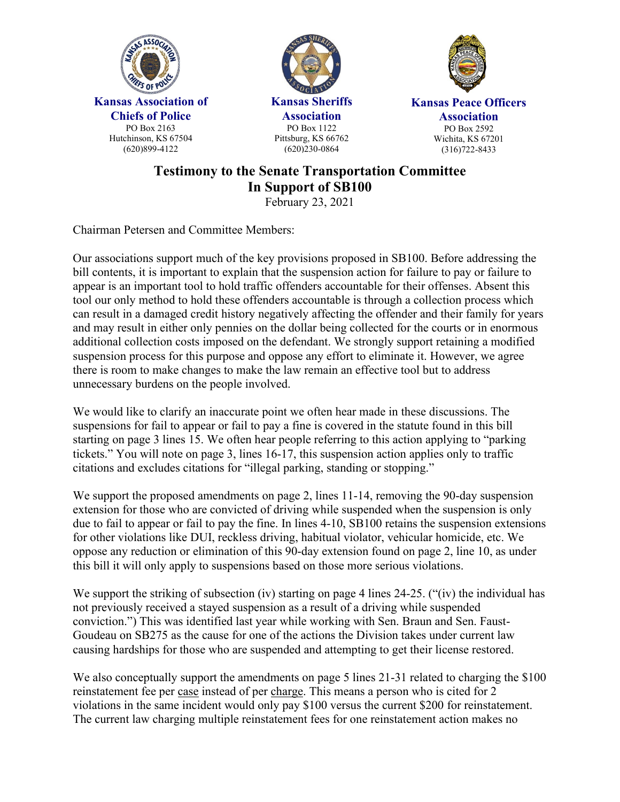





## **Testimony to the Senate Transportation Committee In Support of SB100**

February 23, 2021

Chairman Petersen and Committee Members:

Our associations support much of the key provisions proposed in SB100. Before addressing the bill contents, it is important to explain that the suspension action for failure to pay or failure to appear is an important tool to hold traffic offenders accountable for their offenses. Absent this tool our only method to hold these offenders accountable is through a collection process which can result in a damaged credit history negatively affecting the offender and their family for years and may result in either only pennies on the dollar being collected for the courts or in enormous additional collection costs imposed on the defendant. We strongly support retaining a modified suspension process for this purpose and oppose any effort to eliminate it. However, we agree there is room to make changes to make the law remain an effective tool but to address unnecessary burdens on the people involved.

We would like to clarify an inaccurate point we often hear made in these discussions. The suspensions for fail to appear or fail to pay a fine is covered in the statute found in this bill starting on page 3 lines 15. We often hear people referring to this action applying to "parking tickets." You will note on page 3, lines 16-17, this suspension action applies only to traffic citations and excludes citations for "illegal parking, standing or stopping."

We support the proposed amendments on page 2, lines 11-14, removing the 90-day suspension extension for those who are convicted of driving while suspended when the suspension is only due to fail to appear or fail to pay the fine. In lines 4-10, SB100 retains the suspension extensions for other violations like DUI, reckless driving, habitual violator, vehicular homicide, etc. We oppose any reduction or elimination of this 90-day extension found on page 2, line 10, as under this bill it will only apply to suspensions based on those more serious violations.

We support the striking of subsection (iv) starting on page 4 lines 24-25. ("(iv) the individual has not previously received a stayed suspension as a result of a driving while suspended conviction.") This was identified last year while working with Sen. Braun and Sen. Faust-Goudeau on SB275 as the cause for one of the actions the Division takes under current law causing hardships for those who are suspended and attempting to get their license restored.

We also conceptually support the amendments on page 5 lines 21-31 related to charging the \$100 reinstatement fee per case instead of per charge. This means a person who is cited for 2 violations in the same incident would only pay \$100 versus the current \$200 for reinstatement. The current law charging multiple reinstatement fees for one reinstatement action makes no